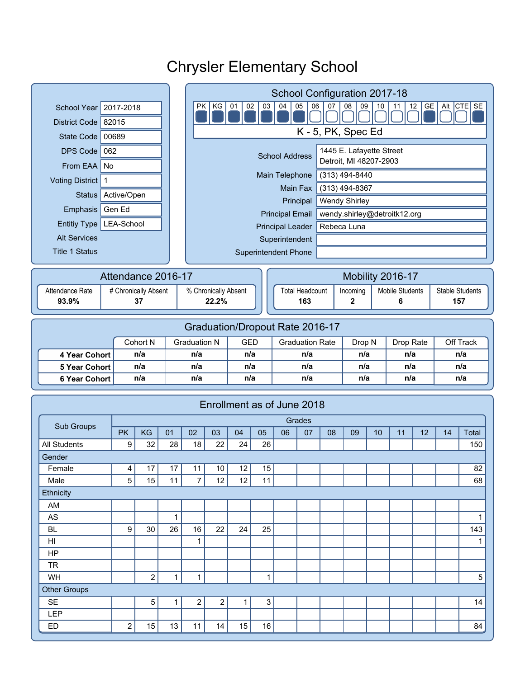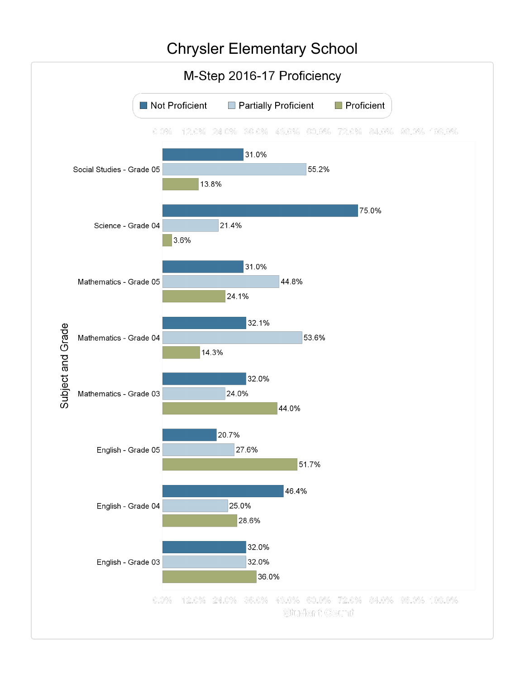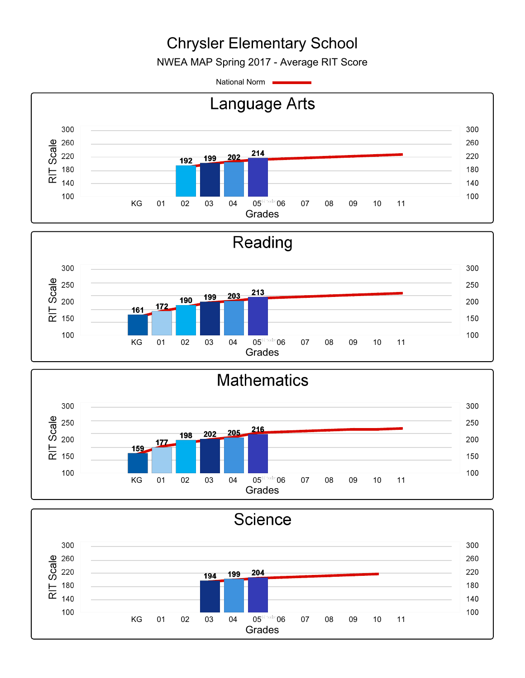NWEA MAP Spring 2017 - Average RIT Score

National Norm